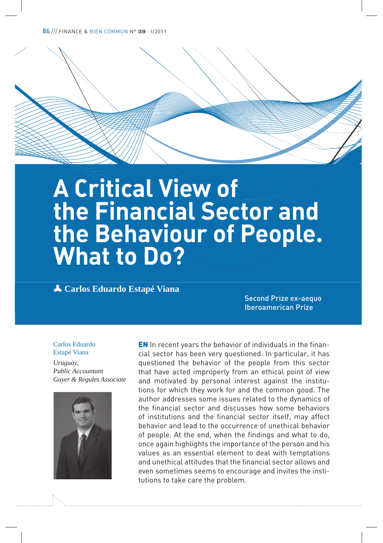# **A Critical View of the Financial Sector and the Behaviour of People. What to Do?**

p **Carlos Eduardo Estapé Viana**

Second Prize ex-aequo Iberoamerican Prize

#### Carlos Eduardo Estapé Viana

*Uruguay, Public Accountant Guyer & Regules Associate*



EN In recent years the behavior of individuals in the financial sector has been very questioned. In particular, it has questioned the behavior of the people from this sector that have acted improperly from an ethical point of view and motivated by personal interest against the institutions for which they work for and the common good. The author addresses some issues related to the dynamics of the financial sector and discusses how some behaviors of institutions and the financial sector itself, may affect behavior and lead to the occurrence of unethical behavior of people. At the end, when the findings and what to do, once again highlights the importance of the person and his values as an essential element to deal with temptations and unethical attitudes that the financial sector allows and even sometimes seems to encourage and invites the institutions to take care the problem.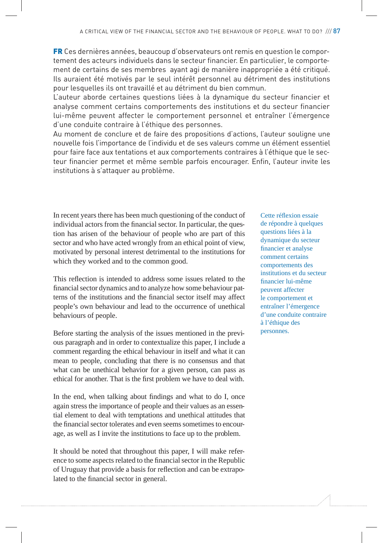FR Ces dernières années, beaucoup d'observateurs ont remis en question le comportement des acteurs individuels dans le secteur financier. En particulier, le comportement de certains de ses membres ayant agi de manière inappropriée a été critiqué. Ils auraient été motivés par le seul intérêt personnel au détriment des institutions pour lesquelles ils ont travaillé et au détriment du bien commun.

L'auteur aborde certaines questions liées à la dynamique du secteur financier et analyse comment certains comportements des institutions et du secteur financier lui-même peuvent affecter le comportement personnel et entraîner l'émergence d'une conduite contraire à l'éthique des personnes.

Au moment de conclure et de faire des propositions d'actions, l'auteur souligne une nouvelle fois l'importance de l'individu et de ses valeurs comme un élément essentiel pour faire face aux tentations et aux comportements contraires à l'éthique que le secteur financier permet et même semble parfois encourager. Enfin, l'auteur invite les institutions à s'attaquer au problème.

In recent years there has been much questioning of the conduct of individual actors from the financial sector. In particular, the question has arisen of the behaviour of people who are part of this sector and who have acted wrongly from an ethical point of view, motivated by personal interest detrimental to the institutions for which they worked and to the common good.

This reflection is intended to address some issues related to the financial sector dynamics and to analyze how some behaviour patterns of the institutions and the financial sector itself may affect people's own behaviour and lead to the occurrence of unethical behaviours of people.

Before starting the analysis of the issues mentioned in the previous paragraph and in order to contextualize this paper, I include a comment regarding the ethical behaviour in itself and what it can mean to people, concluding that there is no consensus and that what can be unethical behavior for a given person, can pass as ethical for another. That is the first problem we have to deal with.

In the end, when talking about findings and what to do I, once again stress the importance of people and their values as an essential element to deal with temptations and unethical attitudes that the financial sector tolerates and even seems sometimes to encourage, as well as I invite the institutions to face up to the problem.

It should be noted that throughout this paper, I will make reference to some aspects related to the financial sector in the Republic of Uruguay that provide a basis for reflection and can be extrapolated to the financial sector in general.

Cette réflexion essaie de répondre à quelques questions liées à la dynamique du secteur financier et analyse comment certains comportements des institutions et du secteur financier lui-même peuvent affecter le comportement et entraîner l'émergence d'une conduite contraire à l'éthique des personnes.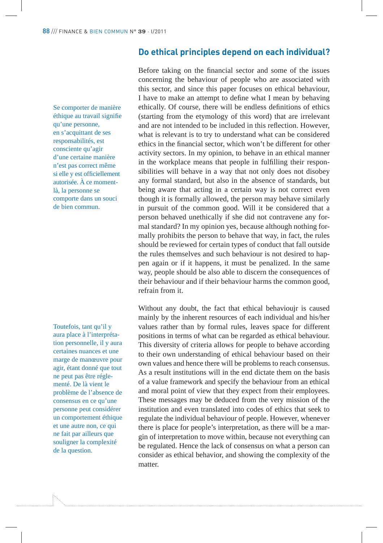## **Do ethical principles depend on each individual?**

Se comporter de manière éthique au travail signifie qu'une personne, en s'acquittant de ses responsabilités, est consciente qu'agir d'une certaine manière n'est pas correct même si elle y est officiellement autorisée. À ce momentlà, la personne se comporte dans un souci de bien commun.

Toutefois, tant qu'il y aura place à l'interprétation personnelle, il y aura certaines nuances et une marge de manœuvre pour agir, étant donné que tout ne peut pas être réglementé. De là vient le problème de l'absence de consensus en ce qu'une personne peut considérer un comportement éthique et une autre non, ce qui ne fait par ailleurs que souligner la complexité de la question.

Before taking on the financial sector and some of the issues concerning the behaviour of people who are associated with this sector, and since this paper focuses on ethical behaviour, I have to make an attempt to define what I mean by behaving ethically. Of course, there will be endless definitions of ethics (starting from the etymology of this word) that are irrelevant and are not intended to be included in this reflection. However, what is relevant is to try to understand what can be considered ethics in the financial sector, which won't be different for other activity sectors. In my opinion, to behave in an ethical manner in the workplace means that people in fulfilling their responsibilities will behave in a way that not only does not disobey any formal standard, but also in the absence of standards, but being aware that acting in a certain way is not correct even though it is formally allowed, the person may behave similarly in pursuit of the common good. Will it be considered that a person behaved unethically if she did not contravene any formal standard? In my opinion yes, because although nothing formally prohibits the person to behave that way, in fact, the rules should be reviewed for certain types of conduct that fall outside the rules themselves and such behaviour is not desired to happen again or if it happens, it must be penalized. In the same way, people should be also able to discern the consequences of their behaviour and if their behaviour harms the common good, refrain from it.

Without any doubt, the fact that ethical behavioujr is caused mainly by the inherent resources of each individual and his/her values rather than by formal rules, leaves space for different positions in terms of what can be regarded as ethical behaviour. This diversity of criteria allows for people to behave according to their own understanding of ethical behaviour based on their own values and hence there will be problems to reach consensus. As a result institutions will in the end dictate them on the basis of a value framework and specify the behaviour from an ethical and moral point of view that they expect from their employees. These messages may be deduced from the very mission of the institution and even translated into codes of ethics that seek to regulate the individual behaviour of people. However, whenever there is place for people's interpretation, as there will be a margin of interpretation to move within, because not everything can be regulated. Hence the lack of consensus on what a person can consider as ethical behavior, and showing the complexity of the matter.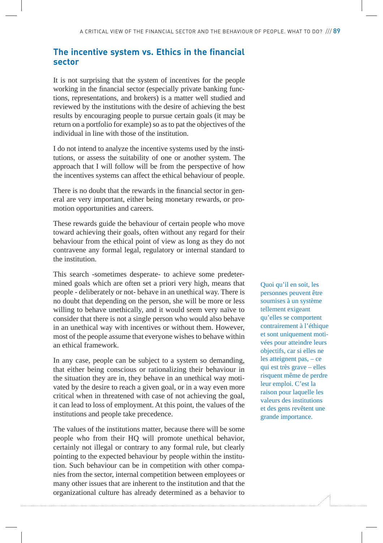## **The incentive system vs. Ethics in the financial sector**

It is not surprising that the system of incentives for the people working in the financial sector (especially private banking functions, representations, and brokers) is a matter well studied and reviewed by the institutions with the desire of achieving the best results by encouraging people to pursue certain goals (it may be return on a portfolio for example) so as to pat the objectives of the individual in line with those of the institution.

I do not intend to analyze the incentive systems used by the institutions, or assess the suitability of one or another system. The approach that I will follow will be from the perspective of how the incentives systems can affect the ethical behaviour of people.

There is no doubt that the rewards in the financial sector in general are very important, either being monetary rewards, or promotion opportunities and careers.

These rewards guide the behaviour of certain people who move toward achieving their goals, often without any regard for their behaviour from the ethical point of view as long as they do not contravene any formal legal, regulatory or internal standard to the institution.

This search -sometimes desperate- to achieve some predetermined goals which are often set a priori very high, means that people - deliberately or not- behave in an unethical way. There is no doubt that depending on the person, she will be more or less willing to behave unethically, and it would seem very naïve to consider that there is not a single person who would also behave in an unethical way with incentives or without them. However, most of the people assume that everyone wishes to behave within an ethical framework.

In any case, people can be subject to a system so demanding, that either being conscious or rationalizing their behaviour in the situation they are in, they behave in an unethical way motivated by the desire to reach a given goal, or in a way even more critical when in threatened with case of not achieving the goal, it can lead to loss of employment. At this point, the values of the institutions and people take precedence.

The values of the institutions matter, because there will be some people who from their HQ will promote unethical behavior, certainly not illegal or contrary to any formal rule, but clearly pointing to the expected behaviour by people within the institution. Such behaviour can be in competition with other companies from the sector, internal competition between employees or many other issues that are inherent to the institution and that the organizational culture has already determined as a behavior to

Quoi qu'il en soit, les personnes peuvent être soumises à un système tellement exigeant qu'elles se comportent contrairement à l'éthique et sont uniquement motivées pour atteindre leurs objectifs, car si elles ne les atteignent pas, – ce qui est très grave – elles risquent même de perdre leur emploi. C'est la raison pour laquelle les valeurs des institutions et des gens revêtent une grande importance.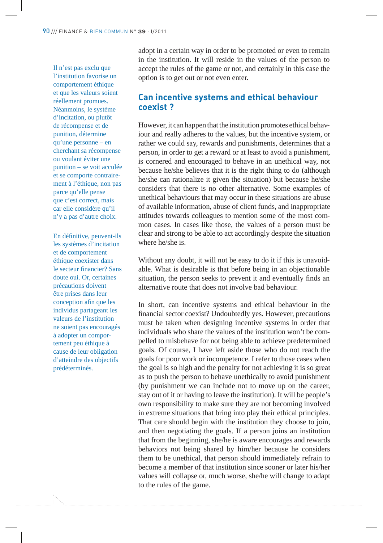Il n'est pas exclu que l'institution favorise un comportement éthique et que les valeurs soient réellement promues. Néanmoins, le système d'incitation, ou plutôt de récompense et de punition, détermine qu'une personne – en cherchant sa récompense ou voulant éviter une punition – se voit acculée et se comporte contrairement à l'éthique, non pas parce qu'elle pense que c'est correct, mais car elle considère qu'il n'y a pas d'autre choix.

En définitive, peuvent-ils les systèmes d'incitation et de comportement éthique coexister dans le secteur financier? Sans doute oui. Or, certaines précautions doivent être prises dans leur conception afin que les individus partageant les valeurs de l'institution ne soient pas encouragés à adopter un comportement peu éthique à cause de leur obligation d'atteindre des objectifs prédéterminés.

adopt in a certain way in order to be promoted or even to remain in the institution. It will reside in the values of the person to accept the rules of the game or not, and certainly in this case the option is to get out or not even enter.

#### **Can incentive systems and ethical behaviour coexist ?**

However, it can happen that the institution promotes ethical behaviour and really adheres to the values, but the incentive system, or rather we could say, rewards and punishments, determines that a person, in order to get a reward or at least to avoid a punishment, is cornered and encouraged to behave in an unethical way, not because he/she believes that it is the right thing to do (although he/she can rationalize it given the situation) but because he/she considers that there is no other alternative. Some examples of unethical behaviours that may occur in these situations are abuse of available information, abuse of client funds, and inappropriate attitudes towards colleagues to mention some of the most common cases. In cases like those, the values of a person must be clear and strong to be able to act accordingly despite the situation where he/she is.

Without any doubt, it will not be easy to do it if this is unavoidable. What is desirable is that before being in an objectionable situation, the person seeks to prevent it and eventually finds an alternative route that does not involve bad behaviour.

In short, can incentive systems and ethical behaviour in the financial sector coexist? Undoubtedly yes. However, precautions must be taken when designing incentive systems in order that individuals who share the values of the institution won't be compelled to misbehave for not being able to achieve predetermined goals. Of course, I have left aside those who do not reach the goals for poor work or incompetence. I refer to those cases when the goal is so high and the penalty for not achieving it is so great as to push the person to behave unethically to avoid punishment (by punishment we can include not to move up on the career, stay out of it or having to leave the institution). It will be people's own responsibility to make sure they are not becoming involved in extreme situations that bring into play their ethical principles. That care should begin with the institution they choose to join, and then negotiating the goals. If a person joins an institution that from the beginning, she/he is aware encourages and rewards behaviors not being shared by him/her because he considers them to be unethical, that person should immediately refrain to become a member of that institution since sooner or later his/her values will collapse or, much worse, she/he will change to adapt to the rules of the game.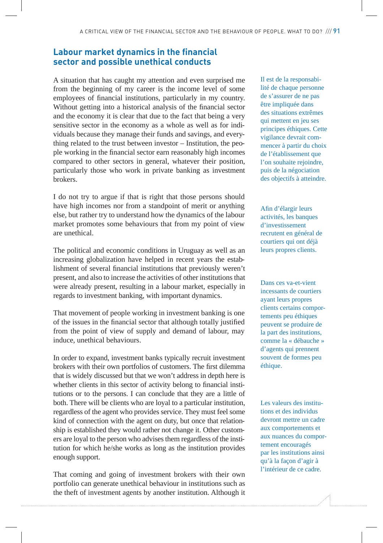## **Labour market dynamics in the financial sector and possible unethical conducts**

A situation that has caught my attention and even surprised me from the beginning of my career is the income level of some employees of financial institutions, particularly in my country. Without getting into a historical analysis of the financial sector and the economy it is clear that due to the fact that being a very sensitive sector in the economy as a whole as well as for individuals because they manage their funds and savings, and everything related to the trust between investor – Institution, the people working in the financial sector earn reasonably high incomes compared to other sectors in general, whatever their position, particularly those who work in private banking as investment brokers.

I do not try to argue if that is right that those persons should have high incomes nor from a standpoint of merit or anything else, but rather try to understand how the dynamics of the labour market promotes some behaviours that from my point of view are unethical.

The political and economic conditions in Uruguay as well as an increasing globalization have helped in recent years the establishment of several financial institutions that previously weren't present, and also to increase the activities of other institutions that were already present, resulting in a labour market, especially in regards to investment banking, with important dynamics.

That movement of people working in investment banking is one of the issues in the financial sector that although totally justified from the point of view of supply and demand of labour, may induce, unethical behaviours.

In order to expand, investment banks typically recruit investment brokers with their own portfolios of customers. The first dilemma that is widely discussed but that we won't address in depth here is whether clients in this sector of activity belong to financial institutions or to the persons. I can conclude that they are a little of both. There will be clients who are loyal to a particular institution, regardless of the agent who provides service. They must feel some kind of connection with the agent on duty, but once that relationship is established they would rather not change it. Other customers are loyal to the person who advises them regardless of the institution for which he/she works as long as the institution provides enough support.

That coming and going of investment brokers with their own portfolio can generate unethical behaviour in institutions such as the theft of investment agents by another institution. Although it Il est de la responsabilité de chaque personne de s'assurer de ne pas être impliquée dans des situations extrêmes qui mettent en jeu ses principes éthiques. Cette vigilance devrait commencer à partir du choix de l'établissement que l'on souhaite rejoindre, puis de la négociation des objectifs à atteindre.

Afin d'élargir leurs activités, les banques d'investissement recrutent en général de courtiers qui ont déjà leurs propres clients.

Dans ces va-et-vient incessants de courtiers ayant leurs propres clients certains comportements peu éthiques peuvent se produire de la part des institutions, comme la « débauche » d'agents qui prennent souvent de formes peu éthique.

Les valeurs des institutions et des individus devront mettre un cadre aux comportements et aux nuances du comportement encouragés par les institutions ainsi qu'à la façon d'agir à l'intérieur de ce cadre.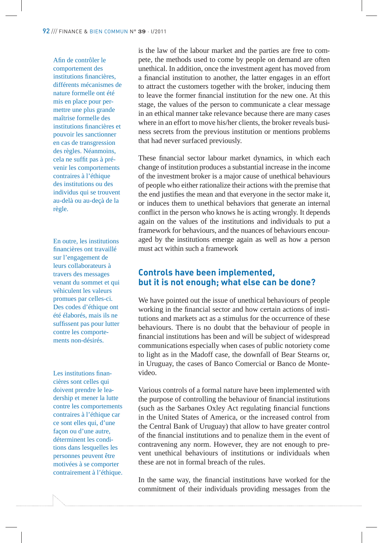Afin de contrôler le comportement des institutions financières, différents mécanismes de nature formelle ont été mis en place pour permettre une plus grande maîtrise formelle des institutions financières et pouvoir les sanctionner en cas de transgression des règles. Néanmoins, cela ne suffit pas à prévenir les comportements contraires à l'éthique des institutions ou des individus qui se trouvent au-delà ou au-deçà de la règle.

#### En outre, les institutions financières ont travaillé sur l'engagement de leurs collaborateurs à travers des messages venant du sommet et qui véhiculent les valeurs promues par celles-ci. Des codes d'éthique ont été élaborés, mais ils ne suffissent pas pour lutter contre les comportements non-désirés.

#### Les institutions financières sont celles qui doivent prendre le leadership et mener la lutte contre les comportements contraires à l'éthique car ce sont elles qui, d'une façon ou d'une autre, déterminent les conditions dans lesquelles les personnes peuvent être motivées à se comporter contrairement à l'éthique.

is the law of the labour market and the parties are free to compete, the methods used to come by people on demand are often unethical. In addition, once the investment agent has moved from a financial institution to another, the latter engages in an effort to attract the customers together with the broker, inducing them to leave the former financial institution for the new one. At this stage, the values of the person to communicate a clear message in an ethical manner take relevance because there are many cases where in an effort to move his/her clients, the broker reveals business secrets from the previous institution or mentions problems that had never surfaced previously.

These financial sector labour market dynamics, in which each change of institution produces a substantial increase in the income of the investment broker is a major cause of unethical behaviours of people who either rationalize their actions with the premise that the end justifies the mean and that everyone in the sector make it, or induces them to unethical behaviors that generate an internal conflict in the person who knows he is acting wrongly. It depends again on the values of the institutions and individuals to put a framework for behaviours, and the nuances of behaviours encouraged by the institutions emerge again as well as how a person must act within such a framework

## **Controls have been implemented, but it is not enough; what else can be done?**

We have pointed out the issue of unethical behaviours of people working in the financial sector and how certain actions of institutions and markets act as a stimulus for the occurrence of these behaviours. There is no doubt that the behaviour of people in financial institutions has been and will be subject of widespread communications especially when cases of public notoriety come to light as in the Madoff case, the downfall of Bear Stearns or, in Uruguay, the cases of Banco Comercial or Banco de Montevideo.

Various controls of a formal nature have been implemented with the purpose of controlling the behaviour of financial institutions (such as the Sarbanes Oxley Act regulating financial functions in the United States of America, or the increased control from the Central Bank of Uruguay) that allow to have greater control of the financial institutions and to penalize them in the event of contravening any norm. However, they are not enough to prevent unethical behaviours of institutions or individuals when these are not in formal breach of the rules.

In the same way, the financial institutions have worked for the commitment of their individuals providing messages from the